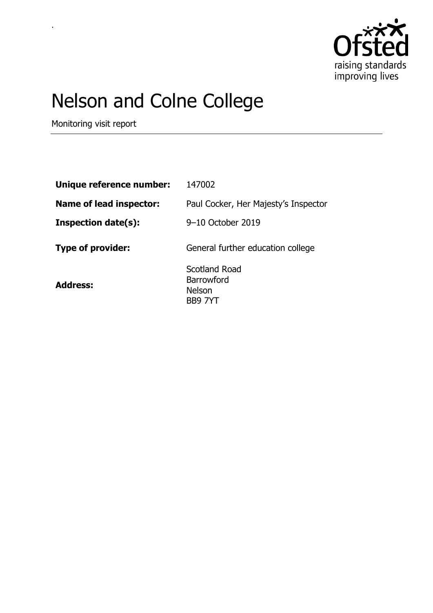

# Nelson and Colne College

Monitoring visit report

.

| Unique reference number:       | 147002                                                  |
|--------------------------------|---------------------------------------------------------|
| <b>Name of lead inspector:</b> | Paul Cocker, Her Majesty's Inspector                    |
| <b>Inspection date(s):</b>     | 9–10 October 2019                                       |
| <b>Type of provider:</b>       | General further education college                       |
| <b>Address:</b>                | Scotland Road<br>Barrowford<br><b>Nelson</b><br>BB9 7YT |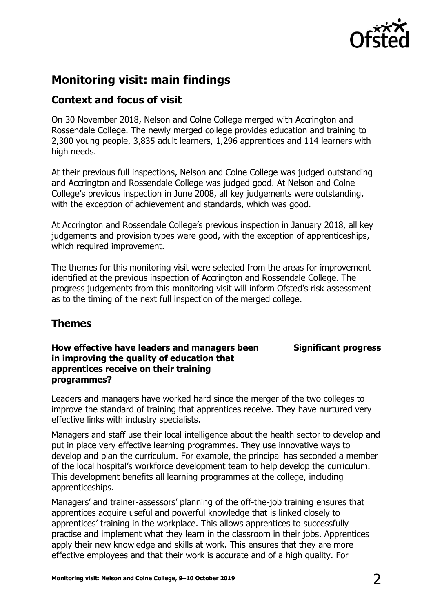

## **Monitoring visit: main findings**

## **Context and focus of visit**

On 30 November 2018, Nelson and Colne College merged with Accrington and Rossendale College. The newly merged college provides education and training to 2,300 young people, 3,835 adult learners, 1,296 apprentices and 114 learners with high needs.

At their previous full inspections, Nelson and Colne College was judged outstanding and Accrington and Rossendale College was judged good. At Nelson and Colne College's previous inspection in June 2008, all key judgements were outstanding, with the exception of achievement and standards, which was good.

At Accrington and Rossendale College's previous inspection in January 2018, all key judgements and provision types were good, with the exception of apprenticeships, which required improvement.

The themes for this monitoring visit were selected from the areas for improvement identified at the previous inspection of Accrington and Rossendale College. The progress judgements from this monitoring visit will inform Ofsted's risk assessment as to the timing of the next full inspection of the merged college.

## **Themes**

### **How effective have leaders and managers been in improving the quality of education that apprentices receive on their training programmes?**

**Significant progress**

Leaders and managers have worked hard since the merger of the two colleges to improve the standard of training that apprentices receive. They have nurtured very effective links with industry specialists.

Managers and staff use their local intelligence about the health sector to develop and put in place very effective learning programmes. They use innovative ways to develop and plan the curriculum. For example, the principal has seconded a member of the local hospital's workforce development team to help develop the curriculum. This development benefits all learning programmes at the college, including apprenticeships.

Managers' and trainer-assessors' planning of the off-the-job training ensures that apprentices acquire useful and powerful knowledge that is linked closely to apprentices' training in the workplace. This allows apprentices to successfully practise and implement what they learn in the classroom in their jobs. Apprentices apply their new knowledge and skills at work. This ensures that they are more effective employees and that their work is accurate and of a high quality. For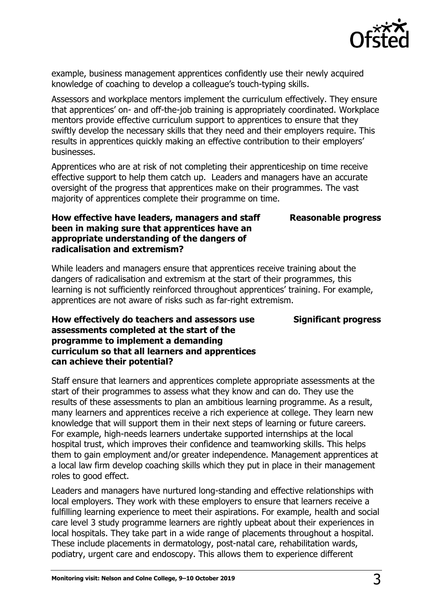

example, business management apprentices confidently use their newly acquired knowledge of coaching to develop a colleague's touch-typing skills.

Assessors and workplace mentors implement the curriculum effectively. They ensure that apprentices' on- and off-the-job training is appropriately coordinated. Workplace mentors provide effective curriculum support to apprentices to ensure that they swiftly develop the necessary skills that they need and their employers require. This results in apprentices quickly making an effective contribution to their employers' businesses.

Apprentices who are at risk of not completing their apprenticeship on time receive effective support to help them catch up. Leaders and managers have an accurate oversight of the progress that apprentices make on their programmes. The vast majority of apprentices complete their programme on time.

#### **Reasonable progress**

#### **How effective have leaders, managers and staff been in making sure that apprentices have an appropriate understanding of the dangers of radicalisation and extremism?**

While leaders and managers ensure that apprentices receive training about the dangers of radicalisation and extremism at the start of their programmes, this learning is not sufficiently reinforced throughout apprentices' training. For example, apprentices are not aware of risks such as far-right extremism.

#### **Significant progress**

#### **How effectively do teachers and assessors use assessments completed at the start of the programme to implement a demanding curriculum so that all learners and apprentices can achieve their potential?**

Staff ensure that learners and apprentices complete appropriate assessments at the start of their programmes to assess what they know and can do. They use the results of these assessments to plan an ambitious learning programme. As a result, many learners and apprentices receive a rich experience at college. They learn new knowledge that will support them in their next steps of learning or future careers. For example, high-needs learners undertake supported internships at the local hospital trust, which improves their confidence and teamworking skills. This helps them to gain employment and/or greater independence. Management apprentices at a local law firm develop coaching skills which they put in place in their management roles to good effect.

Leaders and managers have nurtured long-standing and effective relationships with local employers. They work with these employers to ensure that learners receive a fulfilling learning experience to meet their aspirations. For example, health and social care level 3 study programme learners are rightly upbeat about their experiences in local hospitals. They take part in a wide range of placements throughout a hospital. These include placements in dermatology, post-natal care, rehabilitation wards, podiatry, urgent care and endoscopy. This allows them to experience different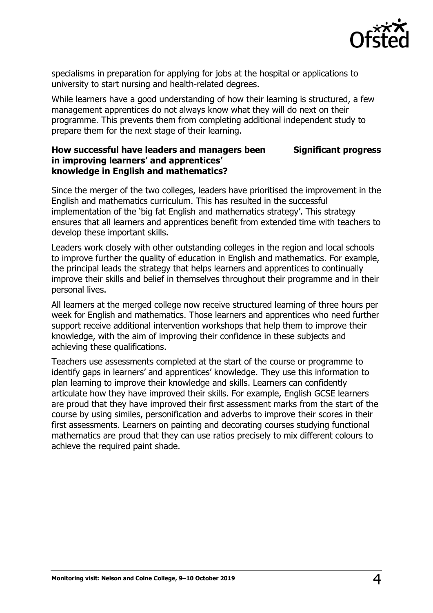

specialisms in preparation for applying for jobs at the hospital or applications to university to start nursing and health-related degrees.

While learners have a good understanding of how their learning is structured, a few management apprentices do not always know what they will do next on their programme. This prevents them from completing additional independent study to prepare them for the next stage of their learning.

#### **How successful have leaders and managers been in improving learners' and apprentices' knowledge in English and mathematics? Significant progress**

Since the merger of the two colleges, leaders have prioritised the improvement in the English and mathematics curriculum. This has resulted in the successful implementation of the 'big fat English and mathematics strategy'. This strategy ensures that all learners and apprentices benefit from extended time with teachers to develop these important skills.

Leaders work closely with other outstanding colleges in the region and local schools to improve further the quality of education in English and mathematics. For example, the principal leads the strategy that helps learners and apprentices to continually improve their skills and belief in themselves throughout their programme and in their personal lives.

All learners at the merged college now receive structured learning of three hours per week for English and mathematics. Those learners and apprentices who need further support receive additional intervention workshops that help them to improve their knowledge, with the aim of improving their confidence in these subjects and achieving these qualifications.

Teachers use assessments completed at the start of the course or programme to identify gaps in learners' and apprentices' knowledge. They use this information to plan learning to improve their knowledge and skills. Learners can confidently articulate how they have improved their skills. For example, English GCSE learners are proud that they have improved their first assessment marks from the start of the course by using similes, personification and adverbs to improve their scores in their first assessments. Learners on painting and decorating courses studying functional mathematics are proud that they can use ratios precisely to mix different colours to achieve the required paint shade.